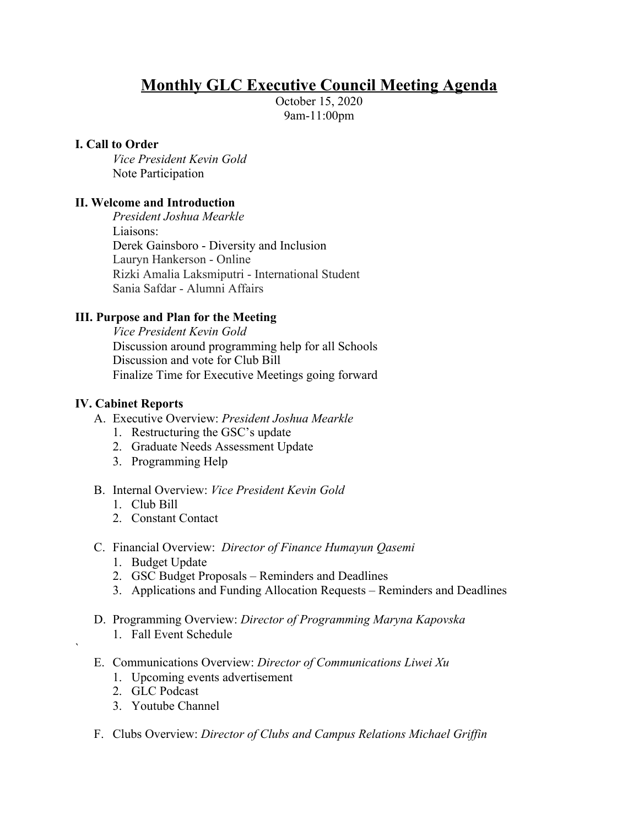# **Monthly GLC Executive Council Meeting Agenda**

October 15, 2020 9am-11:00pm

#### **I. Call to Order**

*Vice President Kevin Gold* Note Participation

## **II. Welcome and Introduction**

*President Joshua Mearkle* Liaisons: Derek Gainsboro - Diversity and Inclusion Lauryn Hankerson - Online Rizki Amalia Laksmiputri - International Student Sania Safdar - Alumni Affairs

## **III. Purpose and Plan for the Meeting**

*Vice President Kevin Gold* Discussion around programming help for all Schools Discussion and vote for Club Bill Finalize Time for Executive Meetings going forward

#### **IV. Cabinet Reports**

- A. Executive Overview: *President Joshua Mearkle*
	- 1. Restructuring the GSC's update
	- 2. Graduate Needs Assessment Update
	- 3. Programming Help
- B. Internal Overview: *Vice President Kevin Gold*
	- 1. Club Bill
	- 2. Constant Contact
- C. Financial Overview: *Director of Finance Humayun Qasemi*
	- 1. Budget Update
	- 2. GSC Budget Proposals Reminders and Deadlines
	- 3. Applications and Funding Allocation Requests Reminders and Deadlines
- D. Programming Overview: *Director of Programming Maryna Kapovska*
	- 1. Fall Event Schedule
- E. Communications Overview: *Director of Communications Liwei Xu*
	- 1. Upcoming events advertisement
	- 2. GLC Podcast

`

- 3. Youtube Channel
- F. Clubs Overview: *Director of Clubs and Campus Relations Michael Griffin*